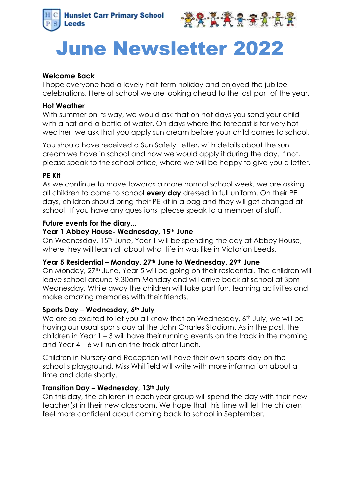



# June Newsletter 2022

## **Welcome Back**

I hope everyone had a lovely half-term holiday and enjoyed the jubilee celebrations. Here at school we are looking ahead to the last part of the year.

#### **Hot Weather**

With summer on its way, we would ask that on hot days you send your child with a hat and a bottle of water. On days where the forecast is for very hot weather, we ask that you apply sun cream before your child comes to school.

You should have received a Sun Safety Letter, with details about the sun cream we have in school and how we would apply it during the day. If not, please speak to the school office, where we will be happy to give you a letter.

## **PE Kit**

As we continue to move towards a more normal school week, we are asking all children to come to school **every day** dressed in full uniform. On their PE days, children should bring their PE kit in a bag and they will get changed at school. If you have any questions, please speak to a member of staff.

## **Future events for the diary...**

## **Year 1 Abbey House- Wednesday, 15th June**

On Wednesday, 15<sup>th</sup> June, Year 1 will be spending the day at Abbey House, where they will learn all about what life in was like in Victorian Leeds.

#### **Year 5 Residential – Monday, 27th June to Wednesday, 29th June**

On Monday, 27<sup>th</sup> June, Year 5 will be going on their residential. The children will leave school around 9.30am Monday and will arrive back at school at 3pm Wednesday. While away the children will take part fun, learning activities and make amazing memories with their friends.

# **Sports Day – Wednesday, 6th July**

We are so excited to let you all know that on Wednesday, 6<sup>th</sup> July, we will be having our usual sports day at the John Charles Stadium. As in the past, the children in Year 1 – 3 will have their running events on the track in the morning and Year 4 – 6 will run on the track after lunch.

Children in Nursery and Reception will have their own sports day on the school's playground. Miss Whitfield will write with more information about a time and date shortly.

#### **Transition Day – Wednesday, 13th July**

On this day, the children in each year group will spend the day with their new teacher(s) in their new classroom. We hope that this time will let the children feel more confident about coming back to school in September.